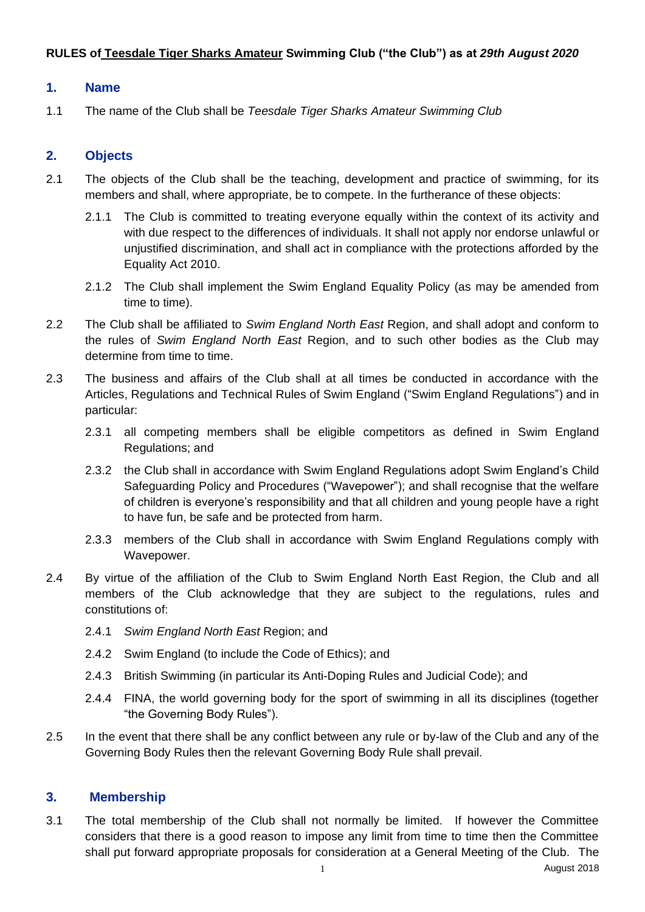# **RULES of Teesdale Tiger Sharks Amateur Swimming Club ("the Club") as at** *29th August 2020*

## **1. Name**

1.1 The name of the Club shall be *Teesdale Tiger Sharks Amateur Swimming Club*

# **2. Objects**

- 2.1 The objects of the Club shall be the teaching, development and practice of swimming, for its members and shall, where appropriate, be to compete. In the furtherance of these objects:
	- 2.1.1 The Club is committed to treating everyone equally within the context of its activity and with due respect to the differences of individuals. It shall not apply nor endorse unlawful or unjustified discrimination, and shall act in compliance with the protections afforded by the Equality Act 2010.
	- 2.1.2 The Club shall implement the Swim England Equality Policy (as may be amended from time to time).
- 2.2 The Club shall be affiliated to *Swim England North East* Region, and shall adopt and conform to the rules of *Swim England North East* Region, and to such other bodies as the Club may determine from time to time.
- 2.3 The business and affairs of the Club shall at all times be conducted in accordance with the Articles, Regulations and Technical Rules of Swim England ("Swim England Regulations") and in particular:
	- 2.3.1 all competing members shall be eligible competitors as defined in Swim England Regulations; and
	- 2.3.2 the Club shall in accordance with Swim England Regulations adopt Swim England's Child Safeguarding Policy and Procedures ("Wavepower"); and shall recognise that the welfare of children is everyone's responsibility and that all children and young people have a right to have fun, be safe and be protected from harm.
	- 2.3.3 members of the Club shall in accordance with Swim England Regulations comply with Wavepower.
- 2.4 By virtue of the affiliation of the Club to Swim England North East Region, the Club and all members of the Club acknowledge that they are subject to the regulations, rules and constitutions of:
	- 2.4.1 *Swim England North East* Region; and
	- 2.4.2 Swim England (to include the Code of Ethics); and
	- 2.4.3 British Swimming (in particular its Anti-Doping Rules and Judicial Code); and
	- 2.4.4 FINA, the world governing body for the sport of swimming in all its disciplines (together "the Governing Body Rules").
- 2.5 In the event that there shall be any conflict between any rule or by-law of the Club and any of the Governing Body Rules then the relevant Governing Body Rule shall prevail.

# **3. Membership**

3.1 The total membership of the Club shall not normally be limited. If however the Committee considers that there is a good reason to impose any limit from time to time then the Committee shall put forward appropriate proposals for consideration at a General Meeting of the Club. The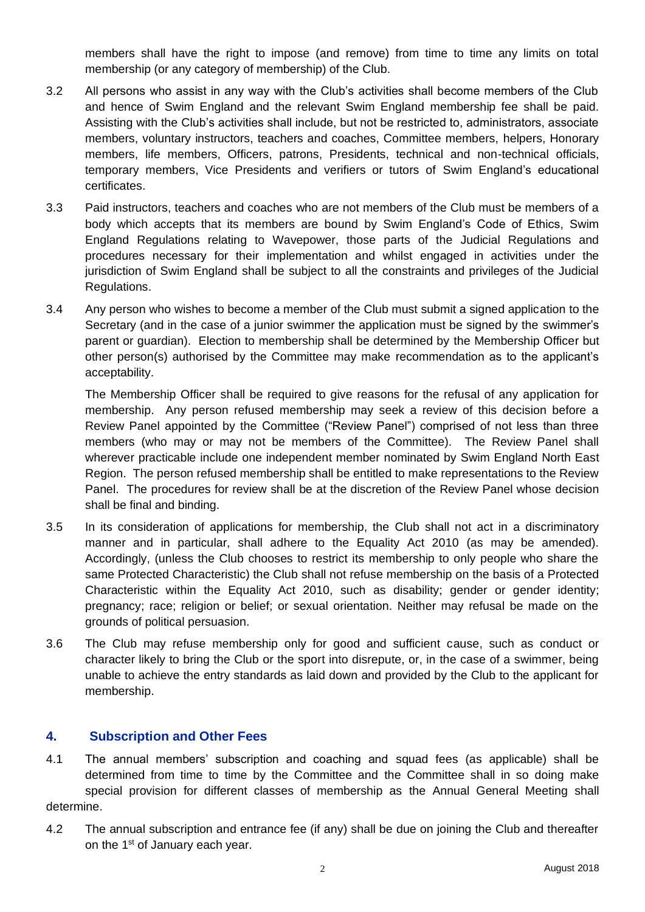members shall have the right to impose (and remove) from time to time any limits on total membership (or any category of membership) of the Club.

- 3.2 All persons who assist in any way with the Club's activities shall become members of the Club and hence of Swim England and the relevant Swim England membership fee shall be paid. Assisting with the Club's activities shall include, but not be restricted to, administrators, associate members, voluntary instructors, teachers and coaches, Committee members, helpers, Honorary members, life members, Officers, patrons, Presidents, technical and non-technical officials, temporary members, Vice Presidents and verifiers or tutors of Swim England's educational certificates.
- 3.3 Paid instructors, teachers and coaches who are not members of the Club must be members of a body which accepts that its members are bound by Swim England's Code of Ethics, Swim England Regulations relating to Wavepower, those parts of the Judicial Regulations and procedures necessary for their implementation and whilst engaged in activities under the jurisdiction of Swim England shall be subject to all the constraints and privileges of the Judicial Regulations.
- 3.4 Any person who wishes to become a member of the Club must submit a signed application to the Secretary (and in the case of a junior swimmer the application must be signed by the swimmer's parent or guardian). Election to membership shall be determined by the Membership Officer but other person(s) authorised by the Committee may make recommendation as to the applicant's acceptability.

The Membership Officer shall be required to give reasons for the refusal of any application for membership. Any person refused membership may seek a review of this decision before a Review Panel appointed by the Committee ("Review Panel") comprised of not less than three members (who may or may not be members of the Committee). The Review Panel shall wherever practicable include one independent member nominated by Swim England North East Region. The person refused membership shall be entitled to make representations to the Review Panel. The procedures for review shall be at the discretion of the Review Panel whose decision shall be final and binding.

- 3.5 In its consideration of applications for membership, the Club shall not act in a discriminatory manner and in particular, shall adhere to the Equality Act 2010 (as may be amended). Accordingly, (unless the Club chooses to restrict its membership to only people who share the same Protected Characteristic) the Club shall not refuse membership on the basis of a Protected Characteristic within the Equality Act 2010, such as disability; gender or gender identity; pregnancy; race; religion or belief; or sexual orientation. Neither may refusal be made on the grounds of political persuasion.
- 3.6 The Club may refuse membership only for good and sufficient cause, such as conduct or character likely to bring the Club or the sport into disrepute, or, in the case of a swimmer, being unable to achieve the entry standards as laid down and provided by the Club to the applicant for membership.

# **4. Subscription and Other Fees**

4.1 The annual members' subscription and coaching and squad fees (as applicable) shall be determined from time to time by the Committee and the Committee shall in so doing make special provision for different classes of membership as the Annual General Meeting shall determine.

4.2 The annual subscription and entrance fee (if any) shall be due on joining the Club and thereafter on the 1<sup>st</sup> of January each year.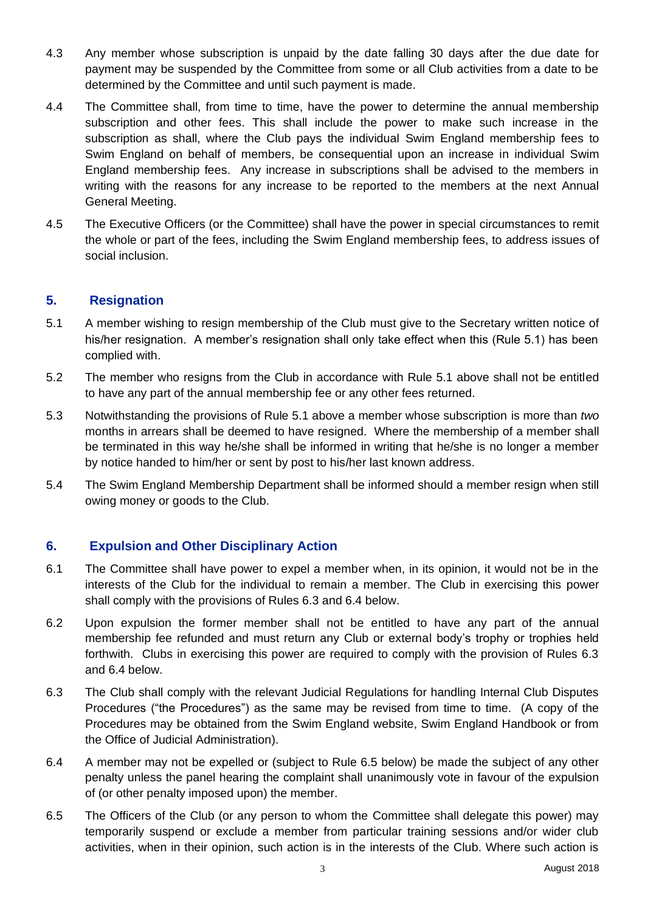- 4.3 Any member whose subscription is unpaid by the date falling 30 days after the due date for payment may be suspended by the Committee from some or all Club activities from a date to be determined by the Committee and until such payment is made.
- 4.4 The Committee shall, from time to time, have the power to determine the annual membership subscription and other fees. This shall include the power to make such increase in the subscription as shall, where the Club pays the individual Swim England membership fees to Swim England on behalf of members, be consequential upon an increase in individual Swim England membership fees. Any increase in subscriptions shall be advised to the members in writing with the reasons for any increase to be reported to the members at the next Annual General Meeting.
- 4.5 The Executive Officers (or the Committee) shall have the power in special circumstances to remit the whole or part of the fees, including the Swim England membership fees, to address issues of social inclusion.

## **5. Resignation**

- 5.1 A member wishing to resign membership of the Club must give to the Secretary written notice of his/her resignation. A member's resignation shall only take effect when this (Rule 5.1) has been complied with.
- 5.2 The member who resigns from the Club in accordance with Rule 5.1 above shall not be entitled to have any part of the annual membership fee or any other fees returned.
- 5.3 Notwithstanding the provisions of Rule 5.1 above a member whose subscription is more than *two* months in arrears shall be deemed to have resigned. Where the membership of a member shall be terminated in this way he/she shall be informed in writing that he/she is no longer a member by notice handed to him/her or sent by post to his/her last known address.
- 5.4 The Swim England Membership Department shall be informed should a member resign when still owing money or goods to the Club.

# **6. Expulsion and Other Disciplinary Action**

- 6.1 The Committee shall have power to expel a member when, in its opinion, it would not be in the interests of the Club for the individual to remain a member. The Club in exercising this power shall comply with the provisions of Rules 6.3 and 6.4 below.
- 6.2 Upon expulsion the former member shall not be entitled to have any part of the annual membership fee refunded and must return any Club or external body's trophy or trophies held forthwith. Clubs in exercising this power are required to comply with the provision of Rules 6.3 and 6.4 below.
- 6.3 The Club shall comply with the relevant Judicial Regulations for handling Internal Club Disputes Procedures ("the Procedures") as the same may be revised from time to time. (A copy of the Procedures may be obtained from the Swim England website, Swim England Handbook or from the Office of Judicial Administration).
- 6.4 A member may not be expelled or (subject to Rule 6.5 below) be made the subject of any other penalty unless the panel hearing the complaint shall unanimously vote in favour of the expulsion of (or other penalty imposed upon) the member.
- 6.5 The Officers of the Club (or any person to whom the Committee shall delegate this power) may temporarily suspend or exclude a member from particular training sessions and/or wider club activities, when in their opinion, such action is in the interests of the Club. Where such action is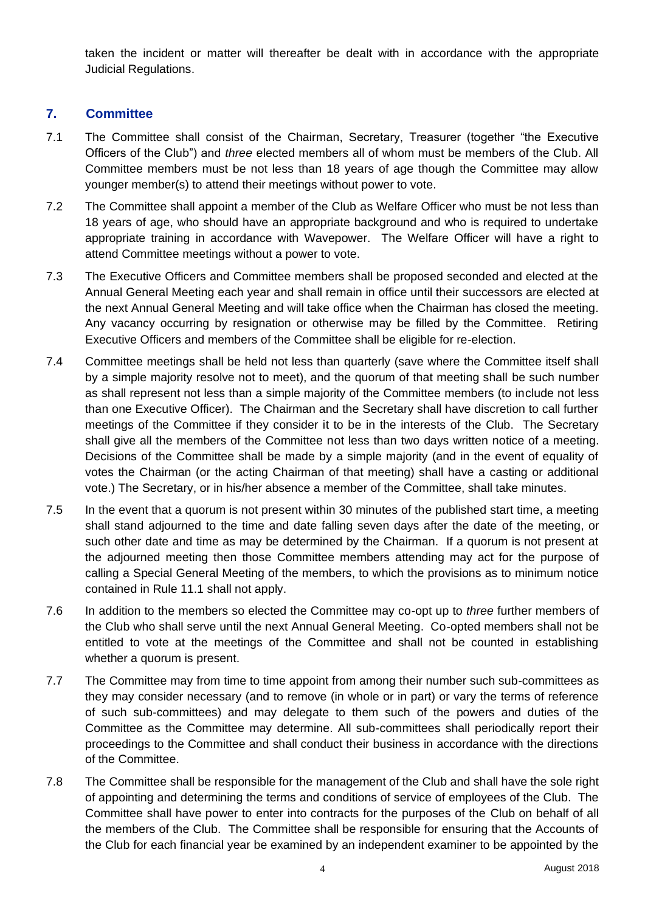taken the incident or matter will thereafter be dealt with in accordance with the appropriate Judicial Regulations.

# **7. Committee**

- 7.1 The Committee shall consist of the Chairman, Secretary, Treasurer (together "the Executive Officers of the Club") and *three* elected members all of whom must be members of the Club. All Committee members must be not less than 18 years of age though the Committee may allow younger member(s) to attend their meetings without power to vote.
- 7.2 The Committee shall appoint a member of the Club as Welfare Officer who must be not less than 18 years of age, who should have an appropriate background and who is required to undertake appropriate training in accordance with Wavepower. The Welfare Officer will have a right to attend Committee meetings without a power to vote.
- 7.3 The Executive Officers and Committee members shall be proposed seconded and elected at the Annual General Meeting each year and shall remain in office until their successors are elected at the next Annual General Meeting and will take office when the Chairman has closed the meeting. Any vacancy occurring by resignation or otherwise may be filled by the Committee. Retiring Executive Officers and members of the Committee shall be eligible for re-election.
- 7.4 Committee meetings shall be held not less than quarterly (save where the Committee itself shall by a simple majority resolve not to meet), and the quorum of that meeting shall be such number as shall represent not less than a simple majority of the Committee members (to include not less than one Executive Officer). The Chairman and the Secretary shall have discretion to call further meetings of the Committee if they consider it to be in the interests of the Club. The Secretary shall give all the members of the Committee not less than two days written notice of a meeting. Decisions of the Committee shall be made by a simple majority (and in the event of equality of votes the Chairman (or the acting Chairman of that meeting) shall have a casting or additional vote.) The Secretary, or in his/her absence a member of the Committee, shall take minutes.
- 7.5 In the event that a quorum is not present within 30 minutes of the published start time, a meeting shall stand adjourned to the time and date falling seven days after the date of the meeting, or such other date and time as may be determined by the Chairman. If a quorum is not present at the adjourned meeting then those Committee members attending may act for the purpose of calling a Special General Meeting of the members, to which the provisions as to minimum notice contained in Rule 11.1 shall not apply.
- 7.6 In addition to the members so elected the Committee may co-opt up to *three* further members of the Club who shall serve until the next Annual General Meeting. Co-opted members shall not be entitled to vote at the meetings of the Committee and shall not be counted in establishing whether a quorum is present.
- 7.7 The Committee may from time to time appoint from among their number such sub-committees as they may consider necessary (and to remove (in whole or in part) or vary the terms of reference of such sub-committees) and may delegate to them such of the powers and duties of the Committee as the Committee may determine. All sub-committees shall periodically report their proceedings to the Committee and shall conduct their business in accordance with the directions of the Committee.
- 7.8 The Committee shall be responsible for the management of the Club and shall have the sole right of appointing and determining the terms and conditions of service of employees of the Club. The Committee shall have power to enter into contracts for the purposes of the Club on behalf of all the members of the Club. The Committee shall be responsible for ensuring that the Accounts of the Club for each financial year be examined by an independent examiner to be appointed by the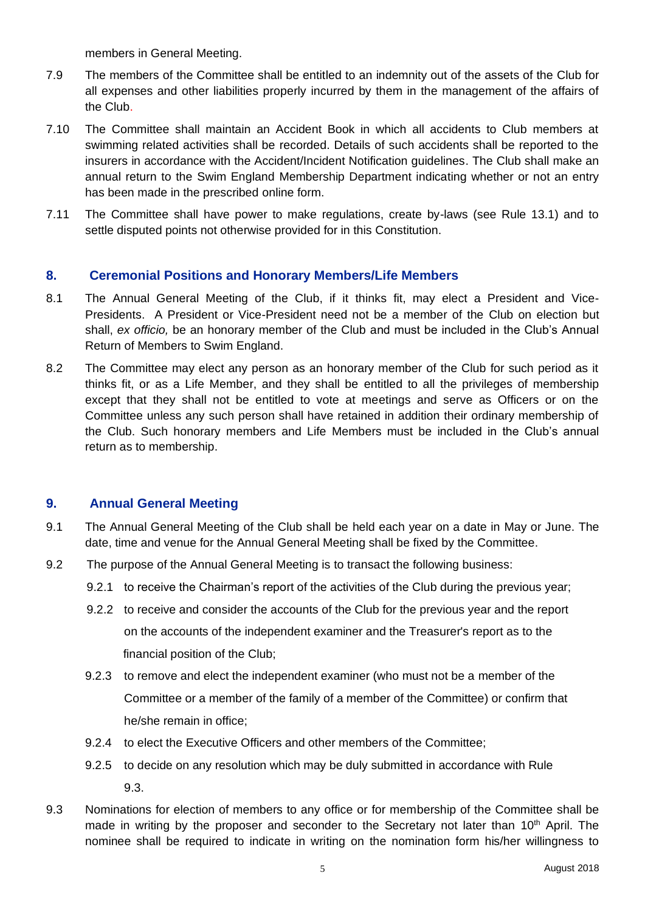members in General Meeting.

- 7.9 The members of the Committee shall be entitled to an indemnity out of the assets of the Club for all expenses and other liabilities properly incurred by them in the management of the affairs of the Club.
- 7.10 The Committee shall maintain an Accident Book in which all accidents to Club members at swimming related activities shall be recorded. Details of such accidents shall be reported to the insurers in accordance with the Accident/Incident Notification guidelines. The Club shall make an annual return to the Swim England Membership Department indicating whether or not an entry has been made in the prescribed online form.
- 7.11 The Committee shall have power to make regulations, create by-laws (see Rule 13.1) and to settle disputed points not otherwise provided for in this Constitution.

# **8. Ceremonial Positions and Honorary Members/Life Members**

- 8.1 The Annual General Meeting of the Club, if it thinks fit, may elect a President and Vice-Presidents. A President or Vice-President need not be a member of the Club on election but shall, *ex officio,* be an honorary member of the Club and must be included in the Club's Annual Return of Members to Swim England.
- 8.2 The Committee may elect any person as an honorary member of the Club for such period as it thinks fit, or as a Life Member, and they shall be entitled to all the privileges of membership except that they shall not be entitled to vote at meetings and serve as Officers or on the Committee unless any such person shall have retained in addition their ordinary membership of the Club. Such honorary members and Life Members must be included in the Club's annual return as to membership.

#### **9. Annual General Meeting**

- 9.1 The Annual General Meeting of the Club shall be held each year on a date in May or June. The date, time and venue for the Annual General Meeting shall be fixed by the Committee.
- 9.2 The purpose of the Annual General Meeting is to transact the following business:
	- 9.2.1 to receive the Chairman's report of the activities of the Club during the previous year;
	- 9.2.2 to receive and consider the accounts of the Club for the previous year and the report on the accounts of the independent examiner and the Treasurer's report as to the financial position of the Club;
	- 9.2.3 to remove and elect the independent examiner (who must not be a member of the Committee or a member of the family of a member of the Committee) or confirm that he/she remain in office;
	- 9.2.4 to elect the Executive Officers and other members of the Committee;
	- 9.2.5 to decide on any resolution which may be duly submitted in accordance with Rule 9.3.
- 9.3 Nominations for election of members to any office or for membership of the Committee shall be made in writing by the proposer and seconder to the Secretary not later than 10<sup>th</sup> April. The nominee shall be required to indicate in writing on the nomination form his/her willingness to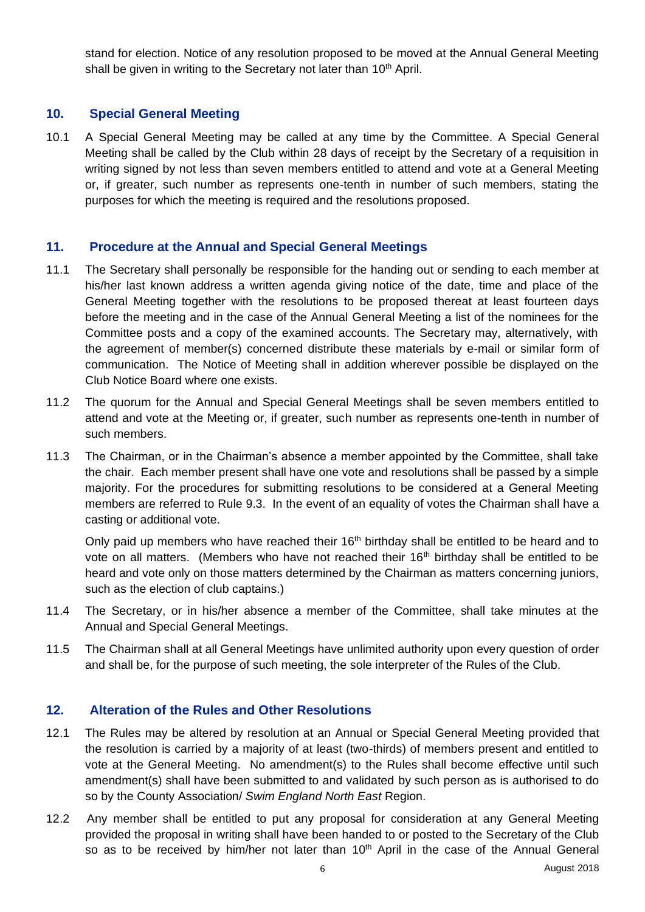stand for election. Notice of any resolution proposed to be moved at the Annual General Meeting shall be given in writing to the Secretary not later than  $10<sup>th</sup>$  April.

# **10. Special General Meeting**

10.1 A Special General Meeting may be called at any time by the Committee. A Special General Meeting shall be called by the Club within 28 days of receipt by the Secretary of a requisition in writing signed by not less than seven members entitled to attend and vote at a General Meeting or, if greater, such number as represents one-tenth in number of such members, stating the purposes for which the meeting is required and the resolutions proposed.

## **11. Procedure at the Annual and Special General Meetings**

- 11.1 The Secretary shall personally be responsible for the handing out or sending to each member at his/her last known address a written agenda giving notice of the date, time and place of the General Meeting together with the resolutions to be proposed thereat at least fourteen days before the meeting and in the case of the Annual General Meeting a list of the nominees for the Committee posts and a copy of the examined accounts. The Secretary may, alternatively, with the agreement of member(s) concerned distribute these materials by e-mail or similar form of communication. The Notice of Meeting shall in addition wherever possible be displayed on the Club Notice Board where one exists.
- 11.2 The quorum for the Annual and Special General Meetings shall be seven members entitled to attend and vote at the Meeting or, if greater, such number as represents one-tenth in number of such members.
- 11.3 The Chairman, or in the Chairman's absence a member appointed by the Committee, shall take the chair. Each member present shall have one vote and resolutions shall be passed by a simple majority. For the procedures for submitting resolutions to be considered at a General Meeting members are referred to Rule 9.3. In the event of an equality of votes the Chairman shall have a casting or additional vote.

Only paid up members who have reached their 16<sup>th</sup> birthday shall be entitled to be heard and to vote on all matters. (Members who have not reached their  $16<sup>th</sup>$  birthday shall be entitled to be heard and vote only on those matters determined by the Chairman as matters concerning juniors, such as the election of club captains.)

- 11.4 The Secretary, or in his/her absence a member of the Committee, shall take minutes at the Annual and Special General Meetings.
- 11.5 The Chairman shall at all General Meetings have unlimited authority upon every question of order and shall be, for the purpose of such meeting, the sole interpreter of the Rules of the Club.

#### **12. Alteration of the Rules and Other Resolutions**

- 12.1 The Rules may be altered by resolution at an Annual or Special General Meeting provided that the resolution is carried by a majority of at least (two-thirds) of members present and entitled to vote at the General Meeting. No amendment(s) to the Rules shall become effective until such amendment(s) shall have been submitted to and validated by such person as is authorised to do so by the County Association/ *Swim England North East* Region.
- 12.2 Any member shall be entitled to put any proposal for consideration at any General Meeting provided the proposal in writing shall have been handed to or posted to the Secretary of the Club so as to be received by him/her not later than 10<sup>th</sup> April in the case of the Annual General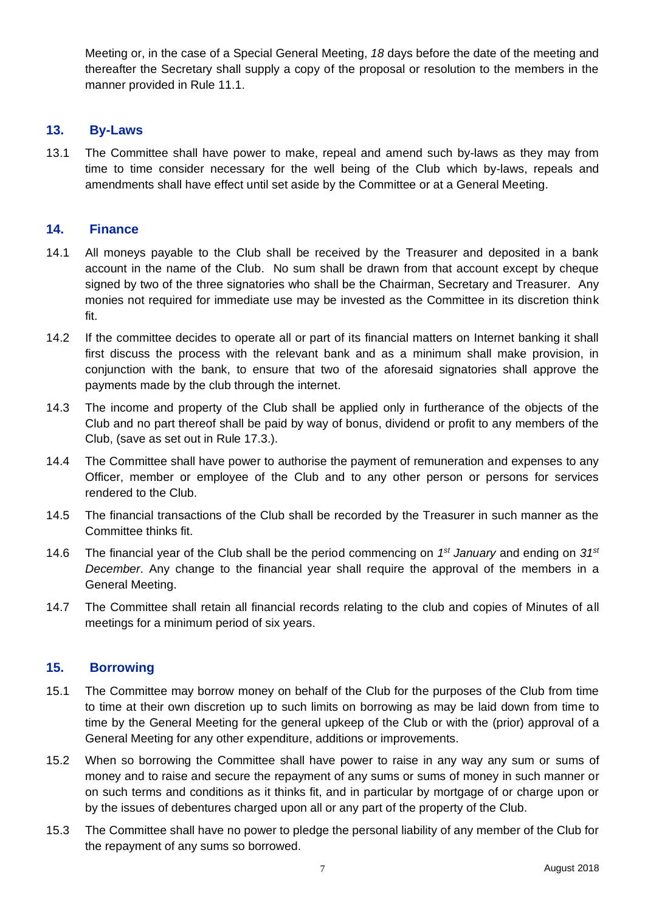Meeting or, in the case of a Special General Meeting, *18* days before the date of the meeting and thereafter the Secretary shall supply a copy of the proposal or resolution to the members in the manner provided in Rule 11.1.

### **13. By-Laws**

13.1 The Committee shall have power to make, repeal and amend such by-laws as they may from time to time consider necessary for the well being of the Club which by-laws, repeals and amendments shall have effect until set aside by the Committee or at a General Meeting.

## **14. Finance**

- 14.1 All moneys payable to the Club shall be received by the Treasurer and deposited in a bank account in the name of the Club. No sum shall be drawn from that account except by cheque signed by two of the three signatories who shall be the Chairman, Secretary and Treasurer. Any monies not required for immediate use may be invested as the Committee in its discretion think fit.
- 14.2 If the committee decides to operate all or part of its financial matters on Internet banking it shall first discuss the process with the relevant bank and as a minimum shall make provision, in conjunction with the bank, to ensure that two of the aforesaid signatories shall approve the payments made by the club through the internet.
- 14.3 The income and property of the Club shall be applied only in furtherance of the objects of the Club and no part thereof shall be paid by way of bonus, dividend or profit to any members of the Club, (save as set out in Rule 17.3.).
- 14.4 The Committee shall have power to authorise the payment of remuneration and expenses to any Officer, member or employee of the Club and to any other person or persons for services rendered to the Club.
- 14.5 The financial transactions of the Club shall be recorded by the Treasurer in such manner as the Committee thinks fit.
- 14.6 The financial year of the Club shall be the period commencing on *1 st January* and ending on *31st December*. Any change to the financial year shall require the approval of the members in a General Meeting.
- 14.7 The Committee shall retain all financial records relating to the club and copies of Minutes of all meetings for a minimum period of six years.

# **15. Borrowing**

- 15.1 The Committee may borrow money on behalf of the Club for the purposes of the Club from time to time at their own discretion up to such limits on borrowing as may be laid down from time to time by the General Meeting for the general upkeep of the Club or with the (prior) approval of a General Meeting for any other expenditure, additions or improvements.
- 15.2 When so borrowing the Committee shall have power to raise in any way any sum or sums of money and to raise and secure the repayment of any sums or sums of money in such manner or on such terms and conditions as it thinks fit, and in particular by mortgage of or charge upon or by the issues of debentures charged upon all or any part of the property of the Club.
- 15.3 The Committee shall have no power to pledge the personal liability of any member of the Club for the repayment of any sums so borrowed.